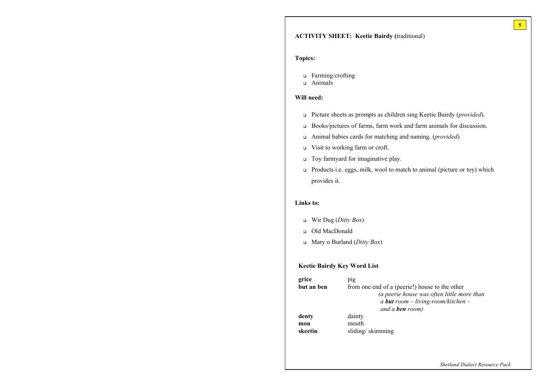*Shetland Dialect Resource Pack*

# **ACTIVITY SHEET: Keetie Bairdy (**traditional)

#### **Topics:**

- □ Farming/crofting
- $\Box$  Animals

### **Will need:**

- <sup>q</sup> Picture sheets as prompts as children sing Keetie Bairdy (*provided*).
- <sup>q</sup> Books/pictures of farms, farm work and farm animals for discussion.
- <sup>q</sup> Animal babies cards for matching and naming. (*provided*)
- <sup>q</sup> Visit to working farm or croft.
- <sup>q</sup> Toy farmyard for imaginative play.
- <sup>q</sup> Products i.e. eggs, milk, wool to match to animal (picture or toy) which provides it.

#### **Links to:**

- <sup>q</sup> Wir Dug (*Ditty Box*)
- <sup>q</sup> Old MacDonald
- <sup>q</sup> Mary o Burland (*Ditty Box*)

**5**

rie!) house to the other *(a peerie house was often little more than a but room – living-room/kitchen – room*)

#### **Keetie Bairdy Key Word List**

| grice      | pig                     |
|------------|-------------------------|
| but an ben | from one end of a (peer |
|            | (a peerie ho            |
|            | a <b>but</b> roon       |
|            | and a <b>ben</b>        |
| denty      | dainty                  |
| mou        | mouth                   |
| skeetin    | sliding/skimming        |
|            |                         |